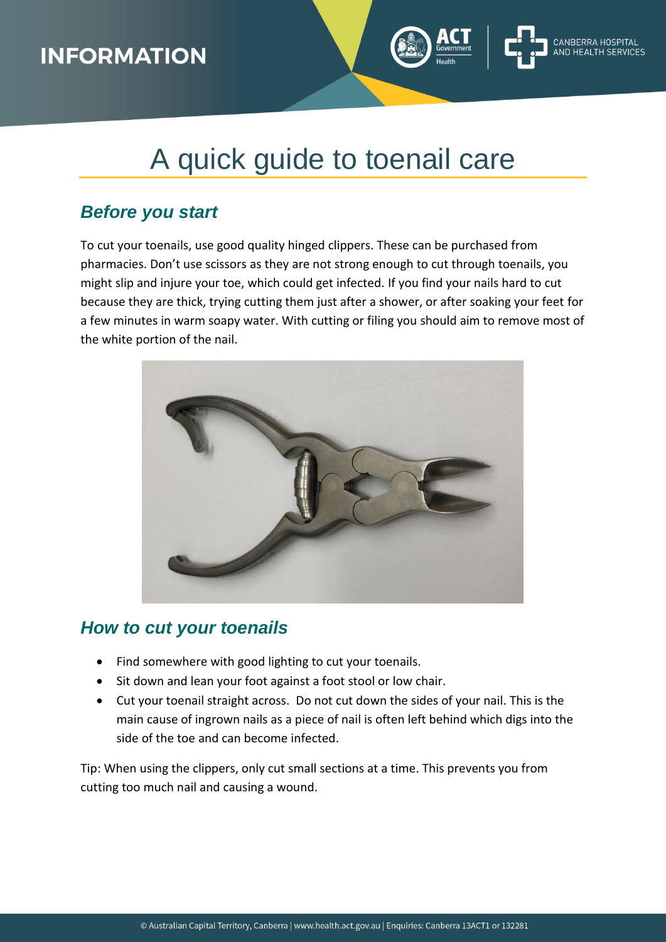### **INFORMATION**

# A quick guide to toenail care

### *Before you start*

To cut your toenails, use good quality hinged clippers. These can be purchased from pharmacies. Don't use scissors as they are not strong enough to cut through toenails, you might slip and injure your toe, which could get infected. If you find your nails hard to cut because they are thick, trying cutting them just after a shower, or after soaking your feet for a few minutes in warm soapy water. With cutting or filing you should aim to remove most of the white portion of the nail.



### *How to cut your toenails*

- Find somewhere with good lighting to cut your toenails.
- Sit down and lean your foot against a foot stool or low chair.
- Cut your toenail straight across. Do not cut down the sides of your nail. This is the main cause of ingrown nails as a piece of nail is often left behind which digs into the side of the toe and can become infected.

Tip: When using the clippers, only cut small sections at a time. This prevents you from cutting too much nail and causing a wound.